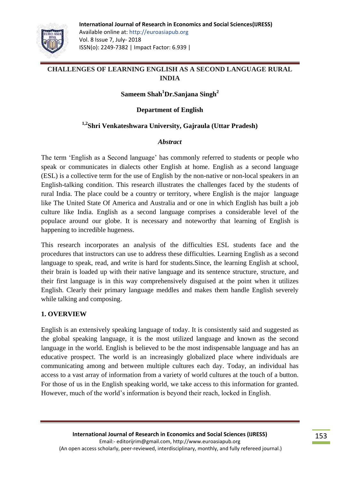

## **CHALLENGES OF LEARNING ENGLISH AS A SECOND LANGUAGE RURAL INDIA**

## **Sameem Shah<sup>1</sup>Dr.Sanjana Singh<sup>2</sup>**

### **Department of English**

### **1,2Shri Venkateshwara University, Gajraula (Uttar Pradesh)**

#### *Abstract*

The term "English as a Second language" has commonly referred to students or people who speak or communicates in dialects other English at home. English as a second language (ESL) is a collective term for the use of English by the non-native or non-local speakers in an English-talking condition. This research illustrates the challenges faced by the students of rural India. The place could be a country or territory, where English is the major language like The United State Of America and Australia and or one in which English has built a job culture like India. English as a second language comprises a considerable level of the populace around our globe. It is necessary and noteworthy that learning of English is happening to incredible hugeness.

This research incorporates an analysis of the difficulties ESL students face and the procedures that instructors can use to address these difficulties. Learning English as a second language to speak, read, and write is hard for students.Since, the learning English at school, their brain is loaded up with their native language and its sentence structure, structure, and their first language is in this way comprehensively disguised at the point when it utilizes English. Clearly their primary language meddles and makes them handle English severely while talking and composing.

### **1. OVERVIEW**

English is an extensively speaking language of today. It is consistently said and suggested as the global speaking language, it is the most utilized language and known as the second language in the world. English is believed to be the most indispensable language and has an educative prospect. The world is an increasingly globalized place where individuals are communicating among and between multiple cultures each day. Today, an individual has access to a vast array of information from a variety of world cultures at the touch of a button. For those of us in the English speaking world, we take access to this information for granted. However, much of the world"s information is beyond their reach, locked in English.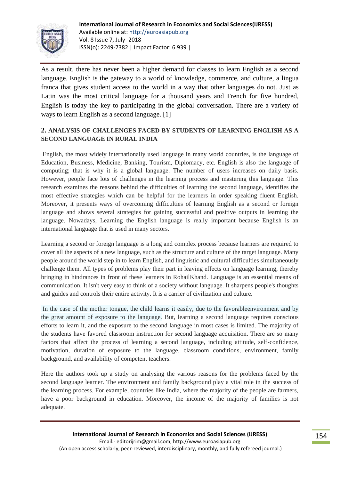

As a result, there has never been a higher demand for classes to learn English as a second language. English is the gateway to a world of knowledge, commerce, and culture, a lingua franca that gives student access to the world in a way that other languages do not. Just as Latin was the most critical language for a thousand years and French for five hundred, English is today the key to participating in the global conversation. There are a variety of ways to learn English as a second language. [1]

### **2. ANALYSIS OF CHALLENGES FACED BY STUDENTS OF LEARNING ENGLISH AS A SECOND LANGUAGE IN RURAL INDIA**

English, the most widely internationally used language in many world countries, is the language of Education, Business, Medicine, Banking, Tourism, Diplomacy, etc. English is also the language of computing; that is why it is a global language. The number of users increases on daily basis. However, people face lots of challenges in the learning process and mastering this language. This research examines the reasons behind the difficulties of learning the second language, identifies the most effective strategies which can be helpful for the learners in order speaking fluent English. Moreover, it presents ways of overcoming difficulties of learning English as a second or foreign language and shows several strategies for gaining successful and positive outputs in learning the language. Nowadays, Learning the English language is really important because English is an international language that is used in many sectors.

Learning a second or foreign language is a long and complex process because learners are required to cover all the aspects of a new language, such as the structure and culture of the target language. Many people around the world step in to learn English, and linguistic and cultural difficulties simultaneously challenge them. All types of problems play their part in leaving effects on language learning, thereby bringing in hindrances in front of these learners in RohailKhand. Language is an essential means of communication. It isn't very easy to think of a society without language. It sharpens people's thoughts and guides and controls their entire activity. It is a carrier of civilization and culture.

In the case of the mother tongue, the child learns it easily, due to the favorableenvironment and by the great amount of exposure to the language. But, learning a second language requires conscious efforts to learn it, and the exposure to the second language in most cases is limited. The majority of the students have favored classroom instruction for second language acquisition. There are so many factors that affect the process of learning a second language, including attitude, self-confidence, motivation, duration of exposure to the language, classroom conditions, environment, family background, and availability of competent teachers.

Here the authors took up a study on analysing the various reasons for the problems faced by the second language learner. The environment and family background play a vital role in the success of the learning process. For example, countries like India, where the majority of the people are farmers, have a poor background in education. Moreover, the income of the majority of families is not adequate.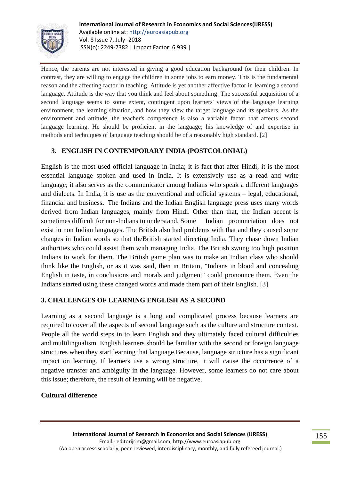

Hence, the parents are not interested in giving a good education background for their children. In contrast, they are willing to engage the children in some jobs to earn money. This is the fundamental reason and the affecting factor in teaching. Attitude is yet another affective factor in learning a second language. Attitude is the way that you think and feel about something. The successful acquisition of a second language seems to some extent, contingent upon learners' views of the language learning environment, the learning situation, and how they view the target language and its speakers. As the environment and attitude, the teacher's competence is also a variable factor that affects second language learning. He should be proficient in the language; his knowledge of and expertise in methods and techniques of language teaching should be of a reasonably high standard. [2]

## **3. ENGLISH IN CONTEMPORARY INDIA (POSTCOLONIAL)**

English is the most used official language in India; it is fact that after Hindi, it is the most essential language spoken and used in India. It is extensively use as a read and write language; it also serves as the communicator among Indians who speak a different languages and dialects. In India, it is use as the conventional and official systems – legal, educational, financial and business**.** The Indians and the Indian English language press uses many words derived from Indian languages, mainly from Hindi. Other than that, the Indian accent is sometimes difficult for non-Indians to understand. Some Indian pronunciation does not exist in non Indian languages. The British also had problems with that and they caused some changes in Indian words so that theBritish started directing India. They chase down Indian authorities who could assist them with managing India. The British swung too high position Indians to work for them. The British game plan was to make an Indian class who should think like the English, or as it was said, then in Britain, "Indians in blood and concealing English in taste, in conclusions and morals and judgment" could pronounce them. Even the Indians started using these changed words and made them part of their English. [3]

## **3. CHALLENGES OF LEARNING ENGLISH AS A SECOND**

Learning as a second language is a long and complicated process because learners are required to cover all the aspects of second language such as the culture and structure context. People all the world steps in to learn English and they ultimately faced cultural difficulties and multilingualism. English learners should be familiar with the second or foreign language structures when they start learning that language.Because, language structure has a significant impact on learning. If learners use a wrong structure, it will cause the occurrence of a negative transfer and ambiguity in the language. However, some learners do not care about this issue; therefore, the result of learning will be negative.

### **Cultural difference**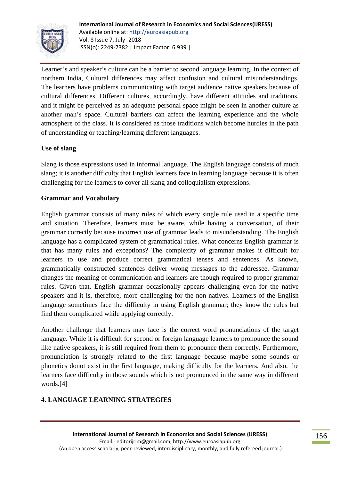

Learner's and speaker's culture can be a barrier to second language learning. In the context of northern India, Cultural differences may affect confusion and cultural misunderstandings. The learners have problems communicating with target audience native speakers because of cultural differences. Different cultures, accordingly, have different attitudes and traditions, and it might be perceived as an adequate personal space might be seen in another culture as another man"s space. Cultural barriers can affect the learning experience and the whole atmosphere of the class. It is considered as those traditions which become hurdles in the path of understanding or teaching/learning different languages.

### **Use of slang**

Slang is those expressions used in informal language. The English language consists of much slang; it is another difficulty that English learners face in learning language because it is often challenging for the learners to cover all slang and colloquialism expressions.

### **Grammar and Vocabulary**

English grammar consists of many rules of which every single rule used in a specific time and situation. Therefore, learners must be aware, while having a conversation, of their grammar correctly because incorrect use of grammar leads to misunderstanding. The English language has a complicated system of grammatical rules. What concerns English grammar is that has many rules and exceptions? The complexity of grammar makes it difficult for learners to use and produce correct grammatical tenses and sentences. As known, grammatically constructed sentences deliver wrong messages to the addressee. Grammar changes the meaning of communication and learners are though required to proper grammar rules. Given that, English grammar occasionally appears challenging even for the native speakers and it is, therefore, more challenging for the non-natives. Learners of the English language sometimes face the difficulty in using English grammar; they know the rules but find them complicated while applying correctly.

Another challenge that learners may face is the correct word pronunciations of the target language. While it is difficult for second or foreign language learners to pronounce the sound like native speakers, it is still required from them to pronounce them correctly. Furthermore, pronunciation is strongly related to the first language because maybe some sounds or phonetics donot exist in the first language, making difficulty for the learners. And also, the learners face difficulty in those sounds which is not pronounced in the same way in different words.[4]

## **4. LANGUAGE LEARNING STRATEGIES**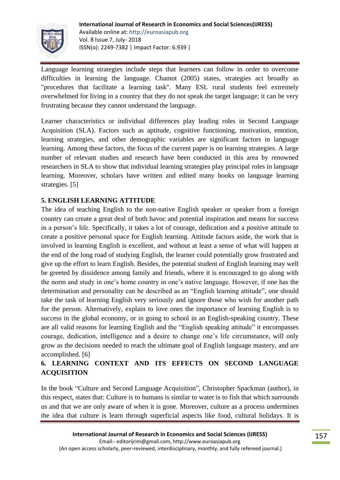

Language learning strategies include steps that learners can follow in order to overcome difficulties in learning the language. Chamot (2005) states, strategies act broadly as "procedures that facilitate a learning task". Many ESL rural students feel extremely overwhelmed for living in a country that they do not speak the target language; it can be very frustrating because they cannot understand the language.

Learner characteristics or individual differences play leading roles in Second Language Acquisition (SLA). Factors such as aptitude, cognitive functioning, motivation, emotion, learning strategies, and other demographic variables are significant factors in language learning. Among these factors, the focus of the current paper is on learning strategies. A large number of relevant studies and research have been conducted in this area by renowned researchers in SLA to show that individual learning strategies play principal roles in language learning. Moreover, scholars have written and edited many books on language learning strategies. [5]

## **5. ENGLISH LEARNING ATTITUDE**

The idea of teaching English to the non-native English speaker or speaker from a foreign country can create a great deal of both havoc and potential inspiration and means for success in a person"s life. Specifically, it takes a lot of courage, dedication and a positive attitude to create a positive personal space for English learning. Attitude factors aside, the work that is involved in learning English is excellent, and without at least a sense of what will happen at the end of the long road of studying English, the learner could potentially grow frustrated and give up the effort to learn English. Besides, the potential student of English learning may well be greeted by dissidence among family and friends, where it is encouraged to go along with the norm and study in one"s home country in one"s native language. However, if one has the determination and personality can be described as an "English learning attitude", one should take the task of learning English very seriously and ignore those who wish for another path for the person. Alternatively, explain to love ones the importance of learning English is to success in the global economy, or in going to school in an English-speaking country. These are all valid reasons for learning English and the "English speaking attitude" it encompasses courage, dedication, intelligence and a desire to change one"s life circumstance, will only grow as the decisions needed to reach the ultimate goal of English language mastery, and are accomplished. [6]

## **6. LEARNING CONTEXT AND ITS EFFECTS ON SECOND LANGUAGE ACQUISITION**

In the book "Culture and Second Language Acquisition", Christopher Spackman (author), in this respect, states that: Culture is to humans is similar to water is to fish that which surrounds us and that we are only aware of when it is gone. Moreover, culture as a process undermines the idea that culture is learn through superficial aspects like food, cultural holidays. It is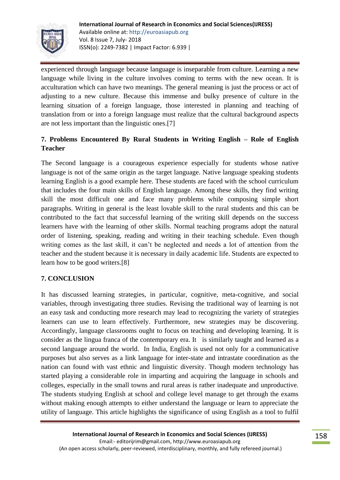

experienced through language because language is inseparable from culture. Learning a new language while living in the culture involves coming to terms with the new ocean. It is acculturation which can have two meanings. The general meaning is just the process or act of adjusting to a new culture. Because this immense and bulky presence of culture in the learning situation of a foreign language, those interested in planning and teaching of translation from or into a foreign language must realize that the cultural background aspects are not less important than the linguistic ones.[7]

# **7. Problems Encountered By Rural Students in Writing English – Role of English Teacher**

The Second language is a courageous experience especially for students whose native language is not of the same origin as the target language. Native language speaking students learning English is a good example here. These students are faced with the school curriculum that includes the four main skills of English language. Among these skills, they find writing skill the most difficult one and face many problems while composing simple short paragraphs. Writing in general is the least lovable skill to the rural students and this can be contributed to the fact that successful learning of the writing skill depends on the success learners have with the learning of other skills. Normal teaching programs adopt the natural order of listening, speaking, reading and writing in their teaching schedule. Even though writing comes as the last skill, it can't be neglected and needs a lot of attention from the teacher and the student because it is necessary in daily academic life. Students are expected to learn how to be good writers.[8]

### **7. CONCLUSION**

It has discussed learning strategies, in particular, cognitive, meta-cognitive, and social variables, through investigating three studies. Revising the traditional way of learning is not an easy task and conducting more research may lead to recognizing the variety of strategies learners can use to learn effectively. Furthermore, new strategies may be discovering. Accordingly, language classrooms ought to focus on teaching and developing learning. It is consider as the lingua franca of the contemporary era. It is similarly taught and learned as a second language around the world. In India, English is used not only for a communicative purposes but also serves as a link language for inter-state and intrastate coordination as the nation can found with vast ethnic and linguistic diversity. Though modern technology has started playing a considerable role in imparting and acquiring the language in schools and colleges, especially in the small towns and rural areas is rather inadequate and unproductive. The students studying English at school and college level manage to get through the exams without making enough attempts to either understand the language or learn to appreciate the utility of language. This article highlights the significance of using English as a tool to fulfil